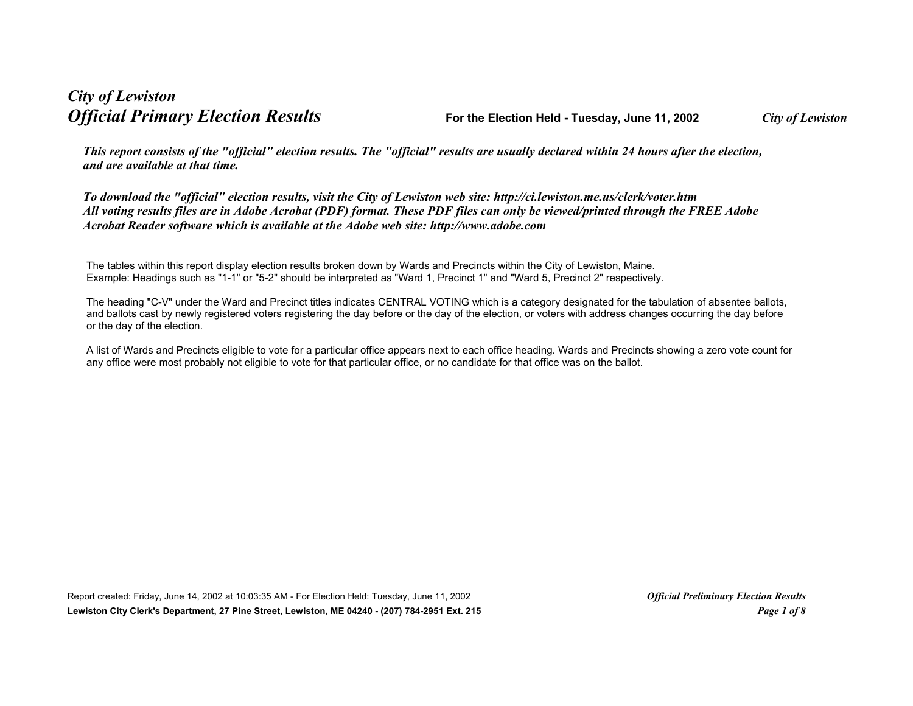## *City of Lewiston Official Primary Election Results* **For the Election Held - Tuesday, June 11, 2002** *City of Lewiston*

*This report consists of the "official" election results. The "official" results are usually declared within 24 hours after the election, and are available at that time.*

*To download the "official" election results, visit the City of Lewiston web site: http://ci.lewiston.me.us/clerk/voter.htm All voting results files are in Adobe Acrobat (PDF) format. These PDF files can only be viewed/printed through the FREE Adobe Acrobat Reader software which is available at the Adobe web site: http://www.adobe.com*

The tables within this report display election results broken down by Wards and Precincts within the City of Lewiston, Maine. Example: Headings such as "1-1" or "5-2" should be interpreted as "Ward 1, Precinct 1" and "Ward 5, Precinct 2" respectively.

The heading "C-V" under the Ward and Precinct titles indicates CENTRAL VOTING which is a category designated for the tabulation of absentee ballots, and ballots cast by newly registered voters registering the day before or the day of the election, or voters with address changes occurring the day before or the day of the election.

A list of Wards and Precincts eligible to vote for a particular office appears next to each office heading. Wards and Precincts showing a zero vote count for any office were most probably not eligible to vote for that particular office, or no candidate for that office was on the ballot.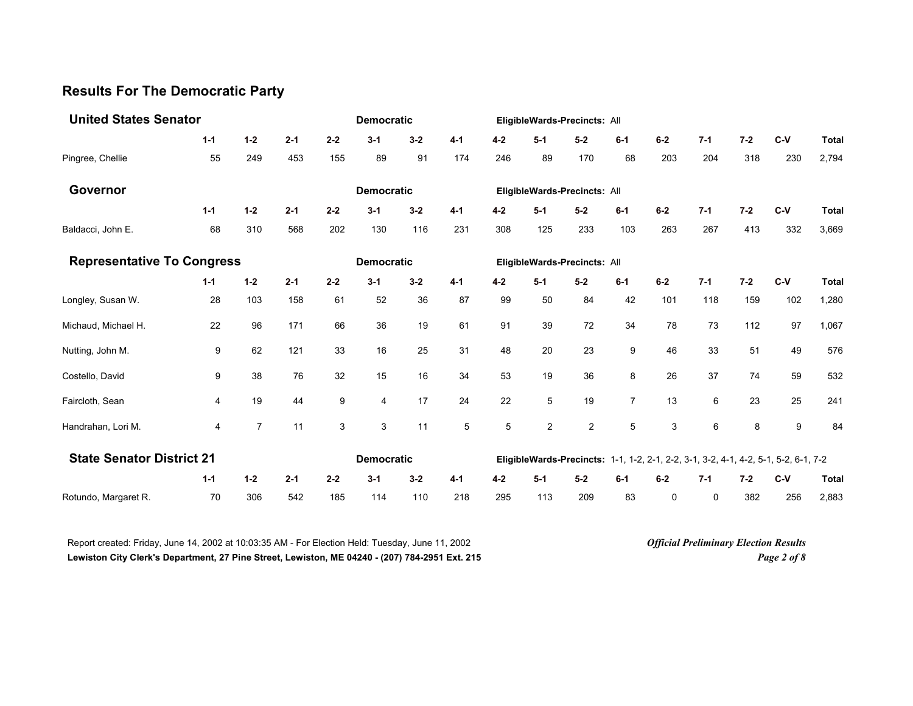## **Results For The Democratic Party**

| <b>United States Senator</b>      |         |                | <b>Democratic</b> |                   |                   |         |         | EligibleWards-Precincts: All |                |                              |                |       |         |                                                                                     |       |              |
|-----------------------------------|---------|----------------|-------------------|-------------------|-------------------|---------|---------|------------------------------|----------------|------------------------------|----------------|-------|---------|-------------------------------------------------------------------------------------|-------|--------------|
|                                   | $1 - 1$ | $1-2$          | $2 - 1$           | $2 - 2$           | $3 - 1$           | $3 - 2$ | $4 - 1$ | $4-2$                        | $5 - 1$        | $5-2$                        | $6 - 1$        | $6-2$ | $7 - 1$ | $7 - 2$                                                                             | $C-V$ | <b>Total</b> |
| Pingree, Chellie                  | 55      | 249            | 453               | 155               | 89                | 91      | 174     | 246                          | 89             | 170                          | 68             | 203   | 204     | 318                                                                                 | 230   | 2,794        |
| Governor                          |         |                |                   |                   | <b>Democratic</b> |         |         |                              |                | EligibleWards-Precincts: All |                |       |         |                                                                                     |       |              |
|                                   | $1 - 1$ | $1 - 2$        | $2 - 1$           | $2 - 2$           | $3 - 1$           | $3 - 2$ | $4 - 1$ | $4 - 2$                      | $5-1$          | $5-2$                        | $6 - 1$        | $6-2$ | $7 - 1$ | $7 - 2$                                                                             | $C-V$ | <b>Total</b> |
| Baldacci, John E.                 | 68      | 310            | 568               | 202               | 130               | 116     | 231     | 308                          | 125            | 233                          | 103            | 263   | 267     | 413                                                                                 | 332   | 3,669        |
| <b>Representative To Congress</b> |         |                |                   |                   | <b>Democratic</b> |         |         |                              |                | EligibleWards-Precincts: All |                |       |         |                                                                                     |       |              |
|                                   | $1 - 1$ | $1 - 2$        | $2 - 1$           | $2 - 2$           | $3 - 1$           | $3 - 2$ | $4 - 1$ | $4 - 2$                      | $5 - 1$        | $5-2$                        | $6 - 1$        | $6-2$ | $7 - 1$ | $7 - 2$                                                                             | $C-V$ | <b>Total</b> |
| Longley, Susan W.                 | 28      | 103            | 158               | 61                | 52                | 36      | 87      | 99                           | 50             | 84                           | 42             | 101   | 118     | 159                                                                                 | 102   | 1,280        |
| Michaud, Michael H.               | 22      | 96             | 171               | 66                | 36                | 19      | 61      | 91                           | 39             | 72                           | 34             | 78    | 73      | 112                                                                                 | 97    | 1,067        |
| Nutting, John M.                  | 9       | 62             | 121               | 33                | 16                | 25      | 31      | 48                           | 20             | 23                           | 9              | 46    | 33      | 51                                                                                  | 49    | 576          |
| Costello, David                   | 9       | 38             | 76                | 32                | 15                | 16      | 34      | 53                           | 19             | 36                           | 8              | 26    | 37      | 74                                                                                  | 59    | 532          |
| Faircloth, Sean                   | 4       | 19             | 44                | 9                 | 4                 | 17      | 24      | 22                           | 5              | 19                           | $\overline{7}$ | 13    | 6       | 23                                                                                  | 25    | 241          |
| Handrahan, Lori M.                | 4       | $\overline{7}$ | 11                | 3                 | 3                 | 11      | 5       | 5                            | $\overline{c}$ | $\overline{c}$               | 5              | 3     | 6       | 8                                                                                   | 9     | 84           |
| <b>State Senator District 21</b>  |         |                |                   | <b>Democratic</b> |                   |         |         |                              |                |                              |                |       |         | EligibleWards-Precincts: 1-1, 1-2, 2-1, 2-2, 3-1, 3-2, 4-1, 4-2, 5-1, 5-2, 6-1, 7-2 |       |              |
|                                   | $1 - 1$ | $1-2$          | $2 - 1$           | $2 - 2$           | $3 - 1$           | $3 - 2$ | $4 - 1$ | $4 - 2$                      | $5-1$          | $5-2$                        | $6 - 1$        | $6-2$ | $7 - 1$ | $7 - 2$                                                                             | $C-V$ | <b>Total</b> |
| Rotundo, Margaret R.              | 70      | 306            | 542               | 185               | 114               | 110     | 218     | 295                          | 113            | 209                          | 83             | 0     | 0       | 382                                                                                 | 256   | 2,883        |

Report created: Friday, June 14, 2002 at 10:03:35 AM - For Election Held: Tuesday, June 11, 2002 *Official Preliminary Election Results* **Lewiston City Clerk's Department, 27 Pine Street, Lewiston, ME 04240 - (207) 784-2951 Ext. 215** *Page 2 of 8*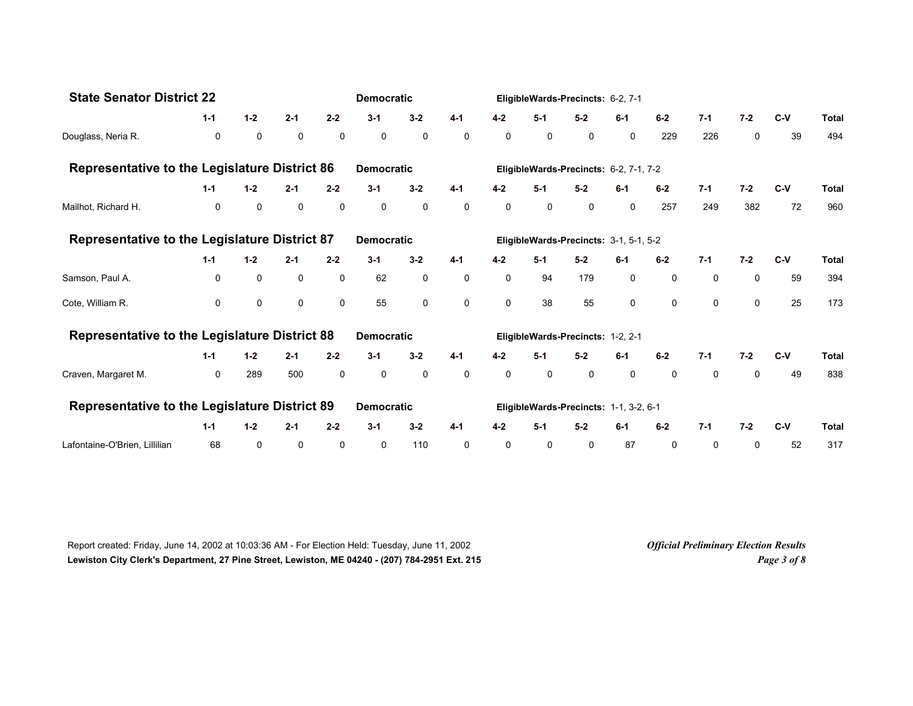| <b>State Senator District 22</b>                     |              | <b>Democratic</b> |             |              |                   |             | EligibleWards-Precincts: 6-2, 7-1      |         |             |                                        |              |             |             |             |       |              |
|------------------------------------------------------|--------------|-------------------|-------------|--------------|-------------------|-------------|----------------------------------------|---------|-------------|----------------------------------------|--------------|-------------|-------------|-------------|-------|--------------|
|                                                      | $1 - 1$      | $1-2$             | $2 - 1$     | $2 - 2$      | $3-1$             | $3 - 2$     | $4 - 1$                                | $4 - 2$ | $5-1$       | $5-2$                                  | $6-1$        | $6 - 2$     | $7-1$       | $7 - 2$     | $C-V$ | <b>Total</b> |
| Douglass, Neria R.                                   | 0            | $\mathbf 0$       | 0           | $\mathbf 0$  | $\mathbf 0$       | $\mathbf 0$ | $\mathbf 0$                            | 0       | $\mathbf 0$ | 0                                      | $\mathbf{0}$ | 229         | 226         | 0           | 39    | 494          |
| <b>Representative to the Legislature District 86</b> |              |                   |             |              | <b>Democratic</b> |             |                                        |         |             | EligibleWards-Precincts: 6-2, 7-1, 7-2 |              |             |             |             |       |              |
|                                                      | $1 - 1$      | $1 - 2$           | $2 - 1$     | $2 - 2$      | $3 - 1$           | $3 - 2$     | $4 - 1$                                | $4 - 2$ | $5 - 1$     | $5 - 2$                                | $6-1$        | $6-2$       | $7 - 1$     | $7 - 2$     | $C-V$ | <b>Total</b> |
| Mailhot, Richard H.                                  | $\mathbf 0$  | $\mathbf 0$       | $\mathbf 0$ | $\mathbf 0$  | 0                 | 0           | $\mathbf 0$                            | 0       | 0           | 0                                      | $\mathbf 0$  | 257         | 249         | 382         | 72    | 960          |
| <b>Representative to the Legislature District 87</b> |              |                   |             |              | <b>Democratic</b> |             |                                        |         |             | EligibleWards-Precincts: 3-1, 5-1, 5-2 |              |             |             |             |       |              |
|                                                      | $1 - 1$      | $1 - 2$           | $2 - 1$     | $2 - 2$      | $3 - 1$           | $3 - 2$     | $4 - 1$                                | $4 - 2$ | $5-1$       | $5-2$                                  | $6-1$        | $6-2$       | $7-1$       | $7 - 2$     | $C-V$ | <b>Total</b> |
| Samson, Paul A.                                      | 0            | $\mathbf 0$       | 0           | $\mathbf 0$  | 62                | 0           | $\mathbf 0$                            | 0       | 94          | 179                                    | 0            | 0           | 0           | $\mathbf 0$ | 59    | 394          |
| Cote, William R.                                     | $\Omega$     | $\Omega$          | $\Omega$    | $\mathbf{0}$ | 55                | $\Omega$    | $\Omega$                               | 0       | 38          | 55                                     | 0            | 0           | $\Omega$    | $\Omega$    | 25    | 173          |
| <b>Representative to the Legislature District 88</b> |              |                   |             |              | <b>Democratic</b> |             |                                        |         |             | EligibleWards-Precincts: 1-2, 2-1      |              |             |             |             |       |              |
|                                                      | $1 - 1$      | $1 - 2$           | $2 - 1$     | $2 - 2$      | $3 - 1$           | $3 - 2$     | $4 - 1$                                | $4 - 2$ | $5-1$       | $5 - 2$                                | $6-1$        | $6-2$       | $7-1$       | $7-2$       | $C-V$ | <b>Total</b> |
| Craven, Margaret M.                                  | $\mathbf{0}$ | 289               | 500         | $\mathbf 0$  | $\mathbf 0$       | $\mathbf 0$ | $\mathbf 0$                            | 0       | $\mathbf 0$ | $\mathbf 0$                            | $\mathbf 0$  | $\mathbf 0$ | $\mathbf 0$ | $\mathbf 0$ | 49    | 838          |
| <b>Representative to the Legislature District 89</b> |              | <b>Democratic</b> |             |              |                   |             | EligibleWards-Precincts: 1-1, 3-2, 6-1 |         |             |                                        |              |             |             |             |       |              |
|                                                      | $1 - 1$      | $1 - 2$           | $2 - 1$     | $2 - 2$      | $3 - 1$           | $3 - 2$     | $4 - 1$                                | $4 - 2$ | $5-1$       | $5-2$                                  | $6-1$        | $6-2$       | $7 - 1$     | $7 - 2$     | $C-V$ | <b>Total</b> |
| Lafontaine-O'Brien, Lillilian                        | 68           | 0                 | 0           | 0            | 0                 | 110         | 0                                      | 0       | 0           | 0                                      | 87           | 0           | 0           | 0           | 52    | 317          |

Report created: Friday, June 14, 2002 at 10:03:36 AM - For Election Held: Tuesday, June 11, 2002 *Official Preliminary Election Results* **Lewiston City Clerk's Department, 27 Pine Street, Lewiston, ME 04240 - (207) 784-2951 Ext. 215** *Page 3 of 8*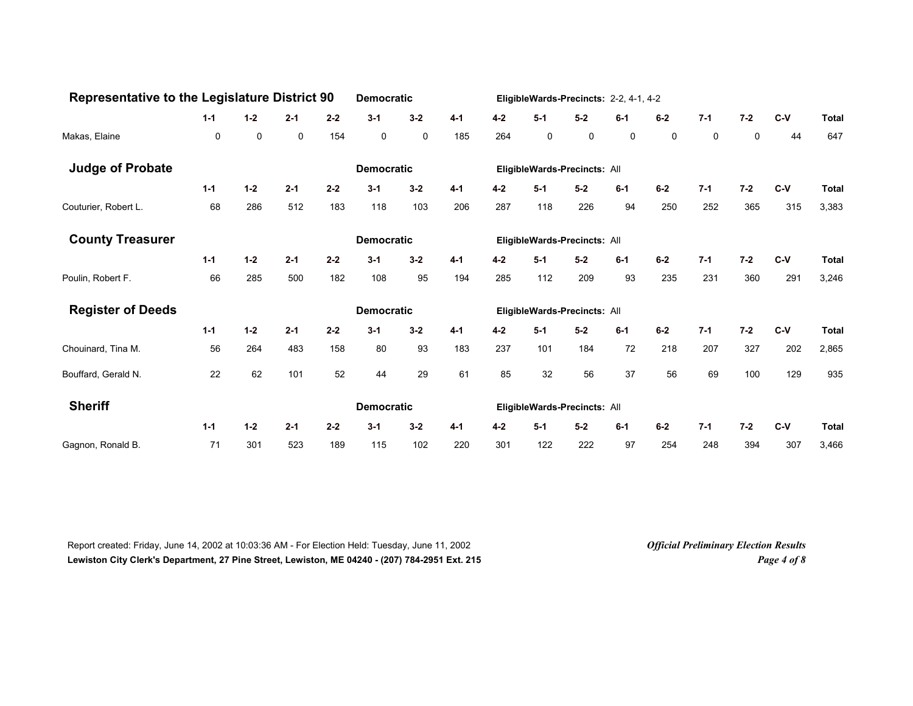| <b>Representative to the Legislature District 90</b> |         | <b>Democratic</b> |         |         |                   |             | EligibleWards-Precincts: 2-2, 4-1, 4-2 |         |         |                              |         |       |             |         |       |              |
|------------------------------------------------------|---------|-------------------|---------|---------|-------------------|-------------|----------------------------------------|---------|---------|------------------------------|---------|-------|-------------|---------|-------|--------------|
|                                                      | $1 - 1$ | $1 - 2$           | $2 - 1$ | $2 - 2$ | $3 - 1$           | $3 - 2$     | $4 - 1$                                | $4 - 2$ | $5-1$   | $5-2$                        | $6-1$   | $6-2$ | $7 - 1$     | $7 - 2$ | $C-V$ | <b>Total</b> |
| Makas, Elaine                                        | 0       | 0                 | 0       | 154     | 0                 | $\mathsf 0$ | 185                                    | 264     | 0       | 0                            | 0       | 0     | $\mathbf 0$ | 0       | 44    | 647          |
| <b>Judge of Probate</b>                              |         |                   |         |         | <b>Democratic</b> |             |                                        |         |         | EligibleWards-Precincts: All |         |       |             |         |       |              |
|                                                      | $1 - 1$ | $1 - 2$           | $2 - 1$ | $2 - 2$ | $3 - 1$           | $3 - 2$     | $4 - 1$                                | $4 - 2$ | $5 - 1$ | $5-2$                        | $6-1$   | $6-2$ | $7 - 1$     | $7 - 2$ | $C-V$ | <b>Total</b> |
| Couturier, Robert L.                                 | 68      | 286               | 512     | 183     | 118               | 103         | 206                                    | 287     | 118     | 226                          | 94      | 250   | 252         | 365     | 315   | 3,383        |
| <b>County Treasurer</b>                              |         |                   |         |         | <b>Democratic</b> |             |                                        |         |         | EligibleWards-Precincts: All |         |       |             |         |       |              |
|                                                      | $1 - 1$ | $1 - 2$           | $2 - 1$ | $2 - 2$ | $3 - 1$           | $3 - 2$     | $4 - 1$                                | $4 - 2$ | $5-1$   | $5-2$                        | $6 - 1$ | $6-2$ | $7-1$       | $7 - 2$ | $C-V$ | <b>Total</b> |
| Poulin, Robert F.                                    | 66      | 285               | 500     | 182     | 108               | 95          | 194                                    | 285     | 112     | 209                          | 93      | 235   | 231         | 360     | 291   | 3,246        |
| <b>Register of Deeds</b>                             |         |                   |         |         | <b>Democratic</b> |             |                                        |         |         | EligibleWards-Precincts: All |         |       |             |         |       |              |
|                                                      | $1 - 1$ | $1 - 2$           | $2 - 1$ | $2 - 2$ | $3 - 1$           | $3 - 2$     | $4 - 1$                                | $4 - 2$ | $5-1$   | $5-2$                        | $6 - 1$ | $6-2$ | $7 - 1$     | $7 - 2$ | $C-V$ | <b>Total</b> |
| Chouinard, Tina M.                                   | 56      | 264               | 483     | 158     | 80                | 93          | 183                                    | 237     | 101     | 184                          | 72      | 218   | 207         | 327     | 202   | 2,865        |
| Bouffard, Gerald N.                                  | 22      | 62                | 101     | 52      | 44                | 29          | 61                                     | 85      | 32      | 56                           | 37      | 56    | 69          | 100     | 129   | 935          |
| <b>Sheriff</b>                                       |         |                   |         |         | <b>Democratic</b> |             |                                        |         |         | EligibleWards-Precincts: All |         |       |             |         |       |              |
|                                                      | $1 - 1$ | $1 - 2$           | $2 - 1$ | $2 - 2$ | $3 - 1$           | $3 - 2$     | $4 - 1$                                | $4 - 2$ | $5-1$   | $5-2$                        | $6-1$   | $6-2$ | $7 - 1$     | $7 - 2$ | $C-V$ | <b>Total</b> |
| Gagnon, Ronald B.                                    | 71      | 301               | 523     | 189     | 115               | 102         | 220                                    | 301     | 122     | 222                          | 97      | 254   | 248         | 394     | 307   | 3,466        |

Report created: Friday, June 14, 2002 at 10:03:36 AM - For Election Held: Tuesday, June 11, 2002 *Official Preliminary Election Results* **Lewiston City Clerk's Department, 27 Pine Street, Lewiston, ME 04240 - (207) 784-2951 Ext. 215** *Page 4 of 8*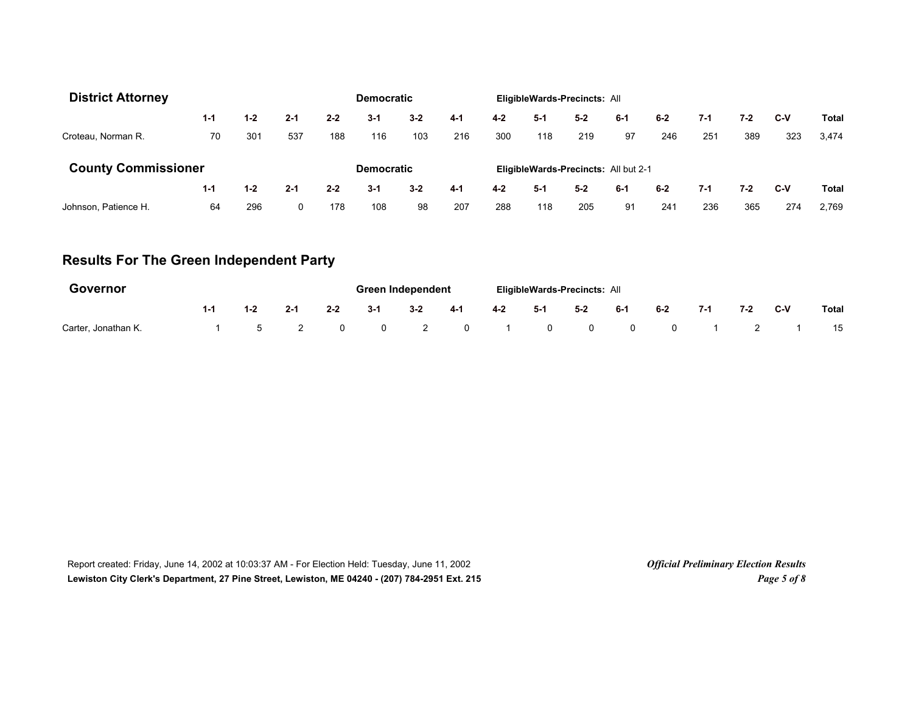| <b>District Attorney</b>   |         |         |                   |         | <b>Democratic</b> |         |         |                                      |       | EligibleWards-Precincts: All |         |       |     |       |       |       |
|----------------------------|---------|---------|-------------------|---------|-------------------|---------|---------|--------------------------------------|-------|------------------------------|---------|-------|-----|-------|-------|-------|
|                            | $1 - 1$ | $1 - 2$ | $2 - 1$           | $2 - 2$ | $3 - 1$           | $3 - 2$ | $4 - 1$ | $4 - 2$                              | $5-1$ | $5 - 2$                      | $6 - 1$ | $6-2$ | 7-1 | 7-2   | C-V   | Total |
| Croteau, Norman R.         | 70      | 301     | 537               | 188     | 116               | 103     | 216     | 300                                  | 118   | 219                          | 97      | 246   | 251 | 389   | 323   | 3,474 |
| <b>County Commissioner</b> |         |         | <b>Democratic</b> |         |                   |         |         | EligibleWards-Precincts: All but 2-1 |       |                              |         |       |     |       |       |       |
|                            | $1 - 1$ | $1 - 2$ | $2 - 1$           | $2 - 2$ | $3 - 1$           | $3 - 2$ | $4 - 1$ | $4 - 2$                              | $5-1$ | $5 - 2$                      | 6-1     | $6-2$ | 7-1 | $7-2$ | $C-V$ | Total |
| Johnson, Patience H.       | 64      | 296     | 0                 | 178     | 108               | 98      | 207     | 288                                  | 118   | 205                          | 91      | 241   | 236 | 365   | 274   | 2.769 |

# **Results For The Green Independent Party**

| <b>Governor</b>     |                |         |          |                | Green Independent |                         |         | <b>EligibleWards-Precincts: All</b> |                         |                         |                |     |       |              |
|---------------------|----------------|---------|----------|----------------|-------------------|-------------------------|---------|-------------------------------------|-------------------------|-------------------------|----------------|-----|-------|--------------|
|                     | $1 - 2$        | $2 - 1$ | $2 - 2$  | $3 - 1$        | $3 - 2$           | $4-1$                   | $4 - 2$ | -5-1                                | $5-2$                   | $6 - 1$                 | $6-2$          | 7-1 | $7-2$ | <b>Total</b> |
| Carter, Jonathan K. | $\overline{5}$ |         | $\Omega$ | $\overline{0}$ | $\overline{2}$    | $\overline{\mathbf{0}}$ |         | $\mathbf{0}$                        | $\overline{\mathbf{0}}$ | $\overline{\mathbf{0}}$ | $\overline{0}$ |     |       | 15           |

Report created: Friday, June 14, 2002 at 10:03:37 AM - For Election Held: Tuesday, June 11, 2002 *Official Preliminary Election Results* **Lewiston City Clerk's Department, 27 Pine Street, Lewiston, ME 04240 - (207) 784-2951 Ext. 215** *Page 5 of 8*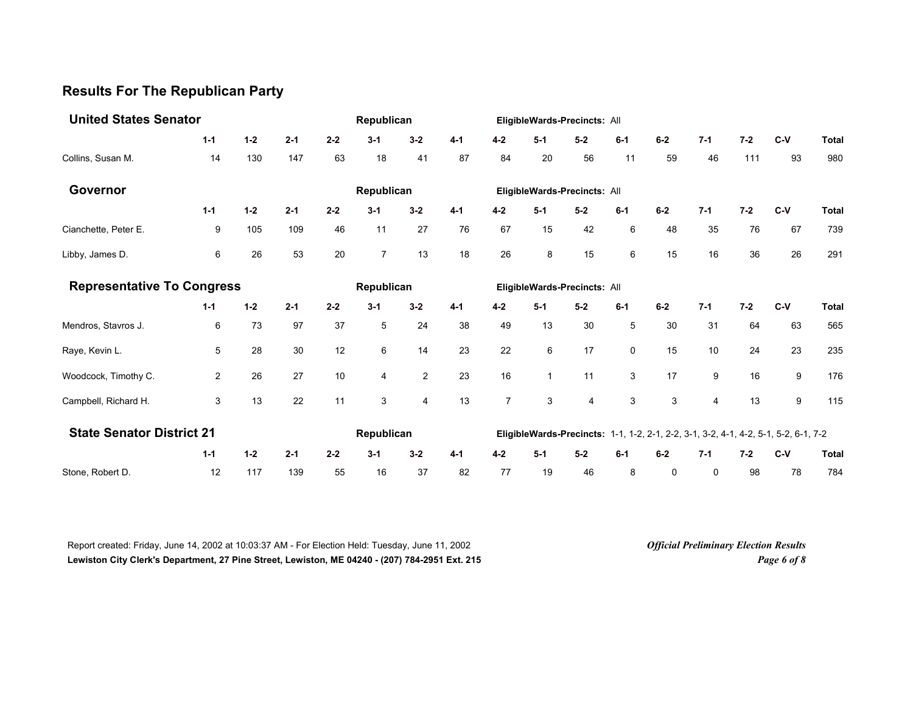## **Results For The Republican Party**

| <b>United States Senator</b>      |                                  |         | Republican |         |                |                |         | EligibleWards-Precincts: All |              |                              |         |       |                |         |                                                                                     |              |
|-----------------------------------|----------------------------------|---------|------------|---------|----------------|----------------|---------|------------------------------|--------------|------------------------------|---------|-------|----------------|---------|-------------------------------------------------------------------------------------|--------------|
|                                   | $1 - 1$                          | $1 - 2$ | $2 - 1$    | $2 - 2$ | $3 - 1$        | $3 - 2$        | $4 - 1$ | $4 - 2$                      | $5-1$        | $5-2$                        | $6 - 1$ | $6-2$ | $7 - 1$        | $7 - 2$ | $C-V$                                                                               | <b>Total</b> |
| Collins, Susan M.                 | 14                               | 130     | 147        | 63      | 18             | 41             | 87      | 84                           | 20           | 56                           | 11      | 59    | 46             | 111     | 93                                                                                  | 980          |
| Governor                          |                                  |         |            |         | Republican     |                |         |                              |              | EligibleWards-Precincts: All |         |       |                |         |                                                                                     |              |
|                                   | $1 - 1$                          | $1 - 2$ | $2 - 1$    | $2 - 2$ | $3 - 1$        | $3-2$          | $4 - 1$ | $4-2$                        | $5-1$        | $5-2$                        | $6-1$   | $6-2$ | $7 - 1$        | $7 - 2$ | $C-V$                                                                               | <b>Total</b> |
| Cianchette, Peter E.              | 9                                | 105     | 109        | 46      | 11             | 27             | 76      | 67                           | 15           | 42                           | 6       | 48    | 35             | 76      | 67                                                                                  | 739          |
| Libby, James D.                   | 6                                | 26      | 53         | 20      | $\overline{7}$ | 13             | 18      | 26                           | 8            | 15                           | 6       | 15    | 16             | 36      | 26                                                                                  | 291          |
| <b>Representative To Congress</b> |                                  |         | Republican |         |                |                |         | EligibleWards-Precincts: All |              |                              |         |       |                |         |                                                                                     |              |
|                                   | $1 - 1$                          | $1 - 2$ | $2 - 1$    | $2 - 2$ | $3 - 1$        | $3 - 2$        | $4 - 1$ | $4 - 2$                      | $5-1$        | $5-2$                        | $6-1$   | $6-2$ | $7 - 1$        | $7 - 2$ | $C-V$                                                                               | <b>Total</b> |
| Mendros, Stavros J.               | 6                                | 73      | 97         | 37      | 5              | 24             | 38      | 49                           | 13           | 30                           | 5       | 30    | 31             | 64      | 63                                                                                  | 565          |
| Raye, Kevin L.                    | 5                                | 28      | 30         | 12      | 6              | 14             | 23      | 22                           | 6            | 17                           | 0       | 15    | 10             | 24      | 23                                                                                  | 235          |
| Woodcock, Timothy C.              | $\overline{2}$                   | 26      | 27         | 10      | 4              | $\overline{2}$ | 23      | 16                           | $\mathbf{1}$ | 11                           | 3       | 17    | 9              | 16      | 9                                                                                   | 176          |
| Campbell, Richard H.              | 3                                | 13      | 22         | 11      | 3              | $\overline{4}$ | 13      | $\overline{7}$               | 3            | 4                            | 3       | 3     | $\overline{4}$ | 13      | 9                                                                                   | 115          |
|                                   | <b>State Senator District 21</b> |         |            |         |                | Republican     |         |                              |              |                              |         |       |                |         | EligibleWards-Precincts: 1-1, 1-2, 2-1, 2-2, 3-1, 3-2, 4-1, 4-2, 5-1, 5-2, 6-1, 7-2 |              |
|                                   | $1 - 1$                          | $1 - 2$ | $2 - 1$    | $2 - 2$ | $3 - 1$        | $3 - 2$        | $4 - 1$ | $4 - 2$                      | $5-1$        | $5-2$                        | $6-1$   | $6-2$ | $7 - 1$        | $7 - 2$ | $C-V$                                                                               | <b>Total</b> |
| Stone, Robert D.                  | 12                               | 117     | 139        | 55      | 16             | 37             | 82      | 77                           | 19           | 46                           | 8       | 0     | 0              | 98      | 78                                                                                  | 784          |

Report created: Friday, June 14, 2002 at 10:03:37 AM - For Election Held: Tuesday, June 11, 2002 *Official Preliminary Election Results* **Lewiston City Clerk's Department, 27 Pine Street, Lewiston, ME 04240 - (207) 784-2951 Ext. 215** *Page 6 of 8*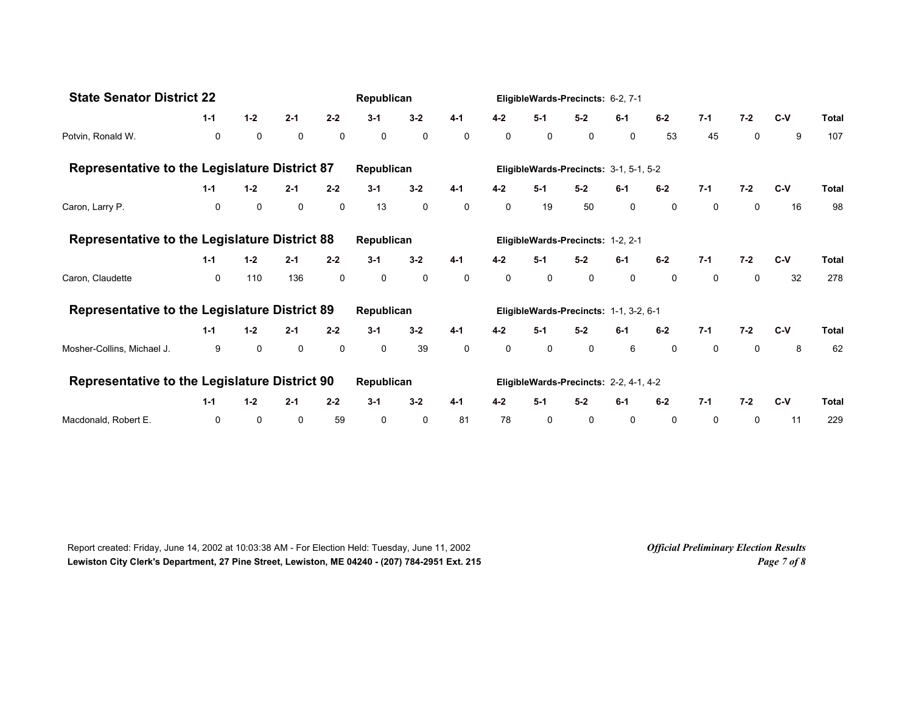| <b>State Senator District 22</b>                     |              |             | Republican  |             |             |                                        | EligibleWards-Precincts: 6-2, 7-1 |         |                                        |         |              |              |              |              |       |              |
|------------------------------------------------------|--------------|-------------|-------------|-------------|-------------|----------------------------------------|-----------------------------------|---------|----------------------------------------|---------|--------------|--------------|--------------|--------------|-------|--------------|
|                                                      | $2 - 1$      | $2 - 2$     | $3 - 1$     | $3 - 2$     | $4 - 1$     | $4 - 2$                                | $5-1$                             | $5 - 2$ | $6-1$                                  | $6-2$   | $7 - 1$      | $7 - 2$      | C-V          | <b>Total</b> |       |              |
| Potvin, Ronald W.                                    | $\mathbf 0$  | $\mathbf 0$ | $\mathbf 0$ | $\mathbf 0$ | $\mathbf 0$ | $\mathbf 0$                            | $\mathbf 0$                       | 0       | 0                                      | 0       | $\mathbf 0$  | 53           | 45           | $\mathbf 0$  | 9     | 107          |
| <b>Representative to the Legislature District 87</b> |              |             |             |             | Republican  |                                        |                                   |         | EligibleWards-Precincts: 3-1, 5-1, 5-2 |         |              |              |              |              |       |              |
|                                                      | $1 - 1$      | $1 - 2$     | $2 - 1$     | $2 - 2$     | $3 - 1$     | $3 - 2$                                | $4 - 1$                           | $4 - 2$ | $5 - 1$                                | $5-2$   | $6-1$        | $6-2$        | $7 - 1$      | $7 - 2$      | $C-V$ | Total        |
| Caron, Larry P.                                      | $\mathbf 0$  | $\mathbf 0$ | 0           | 0           | 13          | $\mathbf 0$                            | $\mathbf 0$                       | 0       | 19                                     | 50      | $\mathsf{O}$ | $\mathsf{O}$ | $\mathsf{O}$ | 0            | 16    | 98           |
| <b>Representative to the Legislature District 88</b> |              |             |             |             | Republican  |                                        |                                   |         | EligibleWards-Precincts: 1-2, 2-1      |         |              |              |              |              |       |              |
|                                                      | $1 - 1$      | $1-2$       | $2 - 1$     | $2 - 2$     | $3 - 1$     | $3 - 2$                                | $4 - 1$                           | $4 - 2$ | $5-1$                                  | $5 - 2$ | $6-1$        | $6-2$        | $7 - 1$      | $7 - 2$      | $C-V$ | Total        |
| Caron, Claudette                                     | $\mathbf{0}$ | 110         | 136         | 0           | 0           | 0                                      | $\mathbf 0$                       | 0       | 0                                      | 0       | $\mathbf 0$  | $\mathbf 0$  | $\mathsf{O}$ | 0            | 32    | 278          |
| <b>Representative to the Legislature District 89</b> |              |             |             |             | Republican  |                                        |                                   |         | EligibleWards-Precincts: 1-1, 3-2, 6-1 |         |              |              |              |              |       |              |
|                                                      | $1 - 1$      | $1-2$       | $2 - 1$     | $2 - 2$     | $3 - 1$     | $3 - 2$                                | $4 - 1$                           | $4 - 2$ | $5 - 1$                                | $5-2$   | $6-1$        | $6-2$        | $7-1$        | $7-2$        | $C-V$ | <b>Total</b> |
| Mosher-Collins, Michael J.                           | 9            | $\mathbf 0$ | $\mathbf 0$ | 0           | 0           | 39                                     | 0                                 | 0       | 0                                      | 0       | 6            | $\mathbf 0$  | $\mathbf 0$  | 0            | 8     | 62           |
| Representative to the Legislature District 90        |              | Republican  |             |             |             | EligibleWards-Precincts: 2-2, 4-1, 4-2 |                                   |         |                                        |         |              |              |              |              |       |              |
|                                                      | $1 - 1$      | $1-2$       | $2 - 1$     | $2 - 2$     | $3 - 1$     | $3 - 2$                                | $4 - 1$                           | $4 - 2$ | $5-1$                                  | $5-2$   | $6-1$        | $6-2$        | $7-1$        | $7 - 2$      | $C-V$ | <b>Total</b> |
| Macdonald, Robert E.                                 | 0            | 0           | $\mathbf 0$ | 59          | 0           | 0                                      | 81                                | 78      | 0                                      | 0       | 0            | 0            | 0            | 0            | 11    | 229          |

Report created: Friday, June 14, 2002 at 10:03:38 AM - For Election Held: Tuesday, June 11, 2002 *Official Preliminary Election Results* **Lewiston City Clerk's Department, 27 Pine Street, Lewiston, ME 04240 - (207) 784-2951 Ext. 215** *Page 7 of 8*